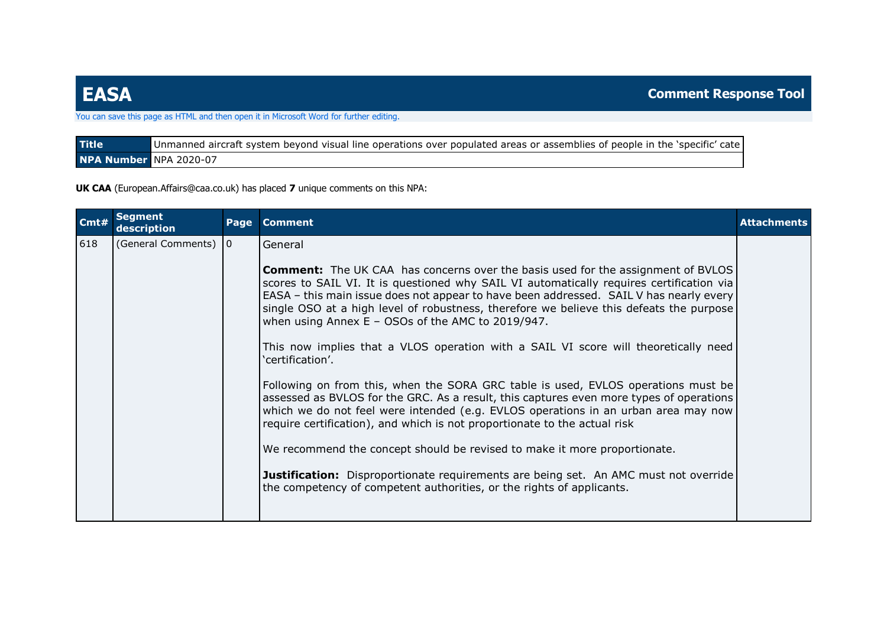## You can save this page as HTML and then open it in Microsoft Word for further editing.

| Title                  | Unmanned aircraft system beyond visual line operations over populated areas or assemblies of people in the 'specific' cate |
|------------------------|----------------------------------------------------------------------------------------------------------------------------|
| NPA Number NPA 2020-07 |                                                                                                                            |

**UK CAA** (European.Affairs@caa.co.uk) has placed **7** unique comments on this NPA:

| CmtA | <b>Seament</b><br>description | Page | <b>Comment</b>                                                                                                                                                                                                                                                                                                                                                                                                                                                                                                                                                                                                                                                                                                                                                                                                                                                                                                                                                                                                                                                                                                                                                | <b>Attachments</b> |
|------|-------------------------------|------|---------------------------------------------------------------------------------------------------------------------------------------------------------------------------------------------------------------------------------------------------------------------------------------------------------------------------------------------------------------------------------------------------------------------------------------------------------------------------------------------------------------------------------------------------------------------------------------------------------------------------------------------------------------------------------------------------------------------------------------------------------------------------------------------------------------------------------------------------------------------------------------------------------------------------------------------------------------------------------------------------------------------------------------------------------------------------------------------------------------------------------------------------------------|--------------------|
| 618  | (General Comments)   0        |      | General<br><b>Comment:</b> The UK CAA has concerns over the basis used for the assignment of BVLOS<br>scores to SAIL VI. It is questioned why SAIL VI automatically requires certification via<br>EASA - this main issue does not appear to have been addressed. SAIL V has nearly every<br>single OSO at a high level of robustness, therefore we believe this defeats the purpose<br>when using Annex $E - OSOs$ of the AMC to 2019/947.<br>This now implies that a VLOS operation with a SAIL VI score will theoretically need<br>'certification'.<br>Following on from this, when the SORA GRC table is used, EVLOS operations must be<br>assessed as BVLOS for the GRC. As a result, this captures even more types of operations<br>which we do not feel were intended (e.g. EVLOS operations in an urban area may now<br>require certification), and which is not proportionate to the actual risk<br>We recommend the concept should be revised to make it more proportionate.<br><b>Justification:</b> Disproportionate requirements are being set. An AMC must not override<br>the competency of competent authorities, or the rights of applicants. |                    |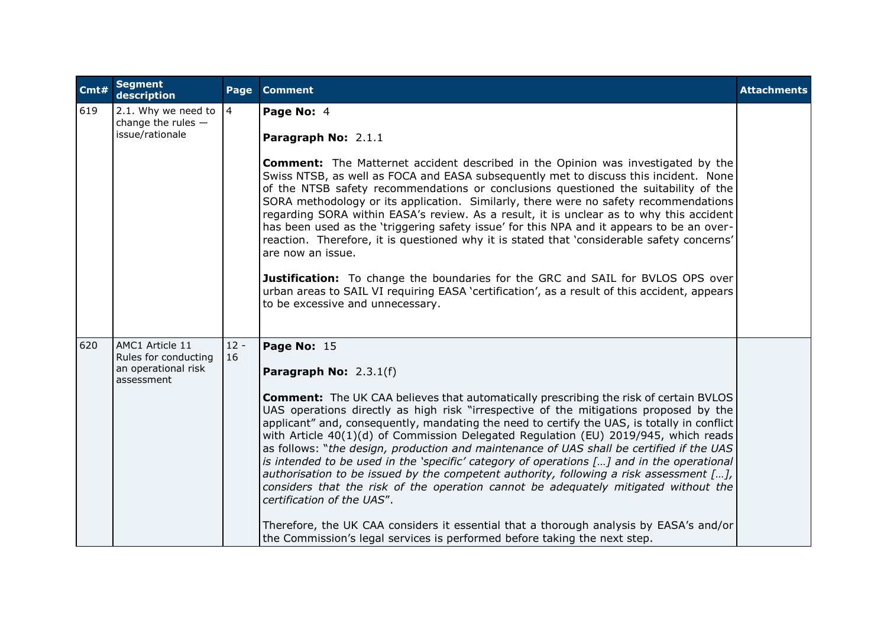| Cmt# | <b>Segment</b><br>description                                                | Page            | <b>Comment</b>                                                                                                                                                                                                                                                                                                                                                                                                                                                                                                                                                                                                                                                                                                                                                                                                                                                                                                                                                                                                  | <b>Attachments</b> |
|------|------------------------------------------------------------------------------|-----------------|-----------------------------------------------------------------------------------------------------------------------------------------------------------------------------------------------------------------------------------------------------------------------------------------------------------------------------------------------------------------------------------------------------------------------------------------------------------------------------------------------------------------------------------------------------------------------------------------------------------------------------------------------------------------------------------------------------------------------------------------------------------------------------------------------------------------------------------------------------------------------------------------------------------------------------------------------------------------------------------------------------------------|--------------------|
| 619  | 2.1. Why we need to<br>change the rules $-$<br>issue/rationale               | $\vert 4 \vert$ | Page No: 4<br>Paragraph No: 2.1.1<br><b>Comment:</b> The Matternet accident described in the Opinion was investigated by the<br>Swiss NTSB, as well as FOCA and EASA subsequently met to discuss this incident. None<br>of the NTSB safety recommendations or conclusions questioned the suitability of the<br>SORA methodology or its application. Similarly, there were no safety recommendations<br>regarding SORA within EASA's review. As a result, it is unclear as to why this accident<br>has been used as the 'triggering safety issue' for this NPA and it appears to be an over-<br>reaction. Therefore, it is questioned why it is stated that 'considerable safety concerns'<br>are now an issue.<br>Justification: To change the boundaries for the GRC and SAIL for BVLOS OPS over<br>urban areas to SAIL VI requiring EASA 'certification', as a result of this accident, appears<br>to be excessive and unnecessary.                                                                           |                    |
| 620  | AMC1 Article 11<br>Rules for conducting<br>an operational risk<br>assessment | $12 -$<br>16    | Page No: 15<br><b>Paragraph No:</b> $2.3.1(f)$<br><b>Comment:</b> The UK CAA believes that automatically prescribing the risk of certain BVLOS<br>UAS operations directly as high risk "irrespective of the mitigations proposed by the<br>applicant" and, consequently, mandating the need to certify the UAS, is totally in conflict<br>with Article 40(1)(d) of Commission Delegated Regulation (EU) 2019/945, which reads<br>as follows: "the design, production and maintenance of UAS shall be certified if the UAS<br>is intended to be used in the 'specific' category of operations [] and in the operational<br>authorisation to be issued by the competent authority, following a risk assessment $[]$ ,<br>considers that the risk of the operation cannot be adequately mitigated without the<br>certification of the UAS".<br>Therefore, the UK CAA considers it essential that a thorough analysis by EASA's and/or<br>the Commission's legal services is performed before taking the next step. |                    |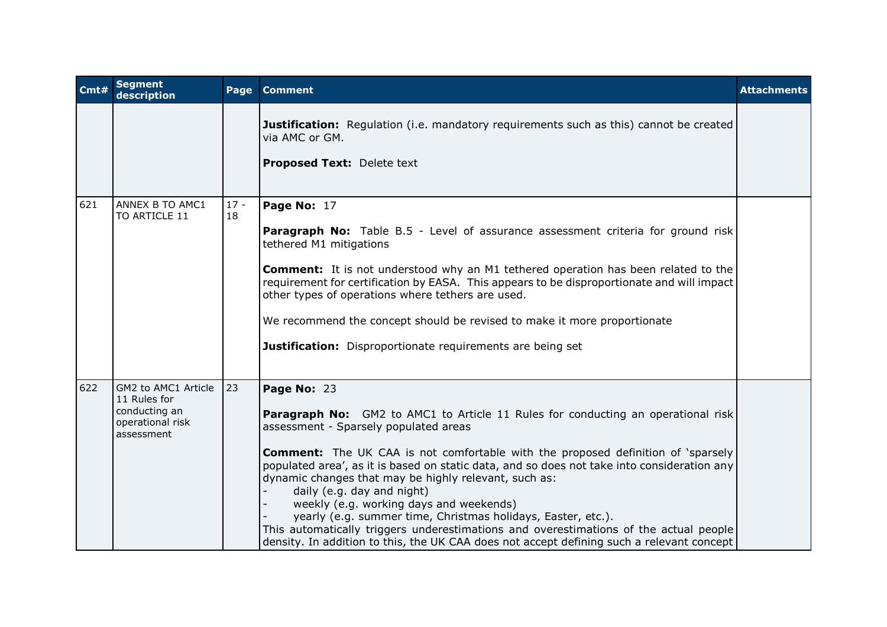| Cmt# | <b>Segment</b><br>description                                                          | Page         | <b>Comment</b>                                                                                                                                                                                                                                                                                                                                                                                                                                                                                                                                                                                                                                                                                                                    | <b>Attachments</b> |
|------|----------------------------------------------------------------------------------------|--------------|-----------------------------------------------------------------------------------------------------------------------------------------------------------------------------------------------------------------------------------------------------------------------------------------------------------------------------------------------------------------------------------------------------------------------------------------------------------------------------------------------------------------------------------------------------------------------------------------------------------------------------------------------------------------------------------------------------------------------------------|--------------------|
|      |                                                                                        |              | <b>Justification:</b> Regulation (i.e. mandatory requirements such as this) cannot be created<br>via AMC or GM.<br><b>Proposed Text: Delete text</b>                                                                                                                                                                                                                                                                                                                                                                                                                                                                                                                                                                              |                    |
| 621  | ANNEX B TO AMC1<br>TO ARTICLE 11                                                       | $17 -$<br>18 | Page No: 17<br><b>Paragraph No:</b> Table B.5 - Level of assurance assessment criteria for ground risk<br>tethered M1 mitigations<br><b>Comment:</b> It is not understood why an M1 tethered operation has been related to the<br>requirement for certification by EASA. This appears to be disproportionate and will impact<br>other types of operations where tethers are used.<br>We recommend the concept should be revised to make it more proportionate<br>Justification: Disproportionate requirements are being set                                                                                                                                                                                                       |                    |
| 622  | GM2 to AMC1 Article<br>11 Rules for<br>conducting an<br>operational risk<br>assessment | 23           | Page No: 23<br><b>Paragraph No:</b> GM2 to AMC1 to Article 11 Rules for conducting an operational risk<br>assessment - Sparsely populated areas<br><b>Comment:</b> The UK CAA is not comfortable with the proposed definition of 'sparsely<br>populated area', as it is based on static data, and so does not take into consideration any<br>dynamic changes that may be highly relevant, such as:<br>daily (e.g. day and night)<br>weekly (e.g. working days and weekends)<br>yearly (e.g. summer time, Christmas holidays, Easter, etc.).<br>This automatically triggers underestimations and overestimations of the actual people<br>density. In addition to this, the UK CAA does not accept defining such a relevant concept |                    |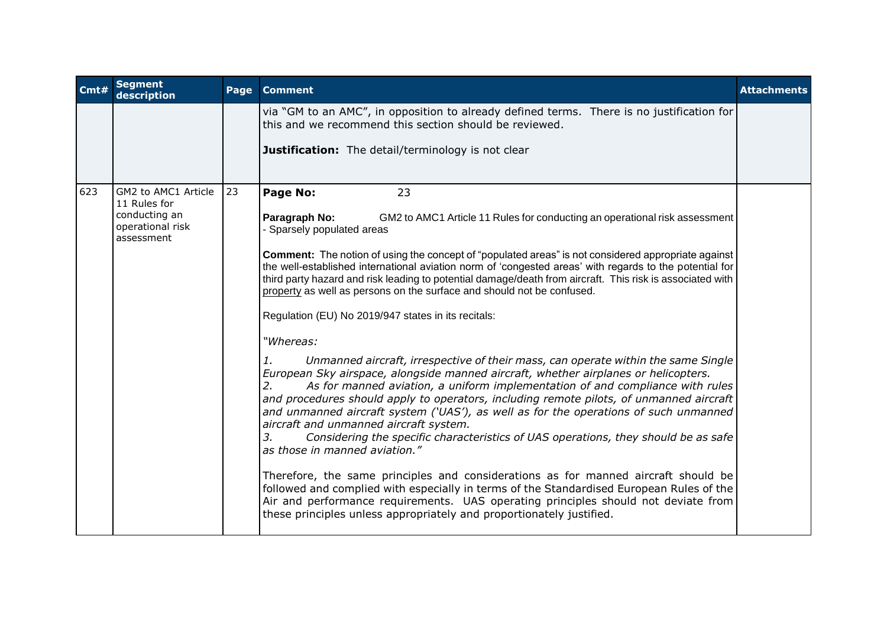| Cmt# | <b>Segment</b><br>description                                                          | Page | <b>Comment</b>                                                                                                                                                                                                                                                                                                                                                                                                                                                                                                                                                                                                                                                                                                                                                                                                                                                                                                                                                                                                                                                                                                                                                                                                                                                                                                                                                                                                                                                   | <b>Attachments</b> |
|------|----------------------------------------------------------------------------------------|------|------------------------------------------------------------------------------------------------------------------------------------------------------------------------------------------------------------------------------------------------------------------------------------------------------------------------------------------------------------------------------------------------------------------------------------------------------------------------------------------------------------------------------------------------------------------------------------------------------------------------------------------------------------------------------------------------------------------------------------------------------------------------------------------------------------------------------------------------------------------------------------------------------------------------------------------------------------------------------------------------------------------------------------------------------------------------------------------------------------------------------------------------------------------------------------------------------------------------------------------------------------------------------------------------------------------------------------------------------------------------------------------------------------------------------------------------------------------|--------------------|
|      |                                                                                        |      | via "GM to an AMC", in opposition to already defined terms. There is no justification for<br>this and we recommend this section should be reviewed.                                                                                                                                                                                                                                                                                                                                                                                                                                                                                                                                                                                                                                                                                                                                                                                                                                                                                                                                                                                                                                                                                                                                                                                                                                                                                                              |                    |
|      |                                                                                        |      | <b>Justification:</b> The detail/terminology is not clear                                                                                                                                                                                                                                                                                                                                                                                                                                                                                                                                                                                                                                                                                                                                                                                                                                                                                                                                                                                                                                                                                                                                                                                                                                                                                                                                                                                                        |                    |
| 623  | GM2 to AMC1 Article<br>11 Rules for<br>conducting an<br>operational risk<br>assessment | 23   | 23<br>Page No:<br>Paragraph No:<br>GM2 to AMC1 Article 11 Rules for conducting an operational risk assessment<br>- Sparsely populated areas<br><b>Comment:</b> The notion of using the concept of "populated areas" is not considered appropriate against<br>the well-established international aviation norm of 'congested areas' with regards to the potential for<br>third party hazard and risk leading to potential damage/death from aircraft. This risk is associated with<br>property as well as persons on the surface and should not be confused.<br>Regulation (EU) No 2019/947 states in its recitals:<br>"Whereas:<br>1.<br>Unmanned aircraft, irrespective of their mass, can operate within the same Single<br>European Sky airspace, alongside manned aircraft, whether airplanes or helicopters.<br>As for manned aviation, a uniform implementation of and compliance with rules<br>2.<br>and procedures should apply to operators, including remote pilots, of unmanned aircraft<br>and unmanned aircraft system ('UAS'), as well as for the operations of such unmanned<br>aircraft and unmanned aircraft system.<br>3 <sub>r</sub><br>Considering the specific characteristics of UAS operations, they should be as safe<br>as those in manned aviation."<br>Therefore, the same principles and considerations as for manned aircraft should be<br>followed and complied with especially in terms of the Standardised European Rules of the |                    |
|      |                                                                                        |      | Air and performance requirements. UAS operating principles should not deviate from<br>these principles unless appropriately and proportionately justified.                                                                                                                                                                                                                                                                                                                                                                                                                                                                                                                                                                                                                                                                                                                                                                                                                                                                                                                                                                                                                                                                                                                                                                                                                                                                                                       |                    |